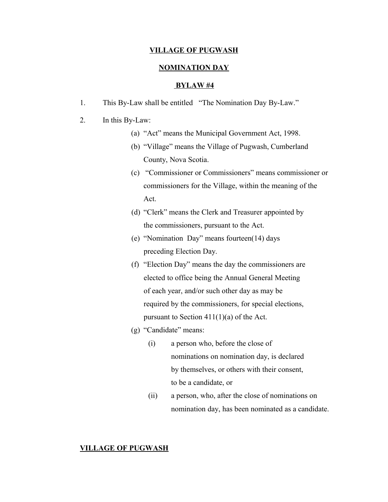## **VILLAGE OF PUGWASH**

# **NOMINATION DAY**

#### **BYLAW #4**

1. This By-Law shall be entitled "The Nomination Day By-Law."

# 2. In this By-Law:

- (a) "Act" means the Municipal Government Act, 1998.
- (b) "Village" means the Village of Pugwash, Cumberland County, Nova Scotia.
- (c) "Commissioner or Commissioners" means commissioner or commissioners for the Village, within the meaning of the Act.
- (d) "Clerk" means the Clerk and Treasurer appointed by the commissioners, pursuant to the Act.
- (e) "Nomination Day" means fourteen(14) days preceding Election Day.
- (f) "Election Day" means the day the commissioners are elected to office being the Annual General Meeting of each year, and/or such other day as may be required by the commissioners, for special elections, pursuant to Section 411(1)(a) of the Act.
- (g) "Candidate" means:
	- (i) a person who, before the close of nominations on nomination day, is declared by themselves, or others with their consent, to be a candidate, or
	- (ii) a person, who, after the close of nominations on nomination day, has been nominated as a candidate.

## **VILLAGE OF PUGWASH**